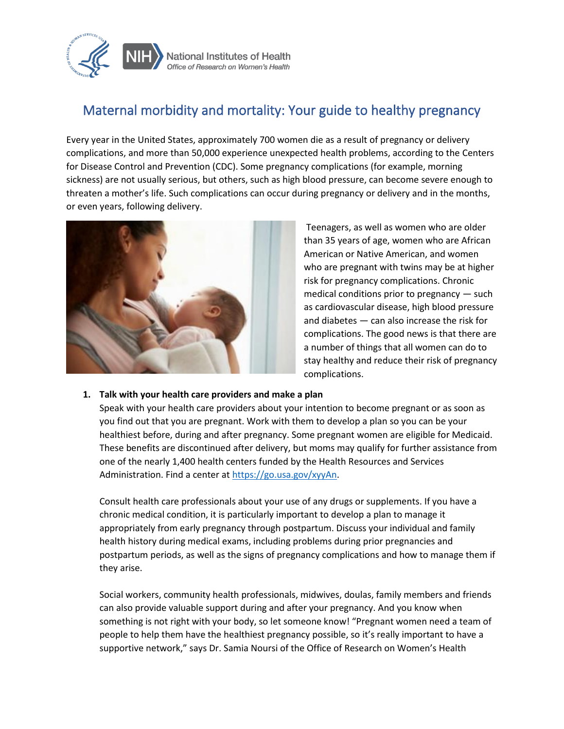

# Maternal morbidity and mortality: Your guide to healthy pregnancy

Every year in the United States, approximately 700 women die as a result of pregnancy or delivery complications, and more than 50,000 experience unexpected health problems, according to the Centers for Disease Control and Prevention (CDC). Some pregnancy complications (for example, morning sickness) are not usually serious, but others, such as high blood pressure, can become severe enough to threaten a mother's life. Such complications can occur during pregnancy or delivery and in the months, or even years, following delivery.



Teenagers, as well as women who are older than 35 years of age, women who are African American or Native American, and women who are pregnant with twins may be at higher risk for pregnancy complications. Chronic medical conditions prior to pregnancy — such as cardiovascular disease, high blood pressure and diabetes — can also increase the risk for complications. The good news is that there are a number of things that all women can do to stay healthy and reduce their risk of pregnancy complications.

#### **1. Talk with your health care providers and make a plan**

Speak with your health care providers about your intention to become pregnant or as soon as you find out that you are pregnant. Work with them to develop a plan so you can be your healthiest before, during and after pregnancy. Some pregnant women are eligible for Medicaid. These benefits are discontinued after delivery, but moms may qualify for further assistance from one of the nearly 1,400 health centers funded by the Health Resources and Services Administration. Find a center at [https://go.usa.gov/xyyAn.](https://go.usa.gov/xyyAn)

Consult health care professionals about your use of any drugs or supplements. If you have a chronic medical condition, it is particularly important to develop a plan to manage it appropriately from early pregnancy through postpartum. Discuss your individual and family health history during medical exams, including problems during prior pregnancies and postpartum periods, as well as the signs of pregnancy complications and how to manage them if they arise.

Social workers, community health professionals, midwives, doulas, family members and friends can also provide valuable support during and after your pregnancy. And you know when something is not right with your body, so let someone know! "Pregnant women need a team of people to help them have the healthiest pregnancy possible, so it's really important to have a supportive network," says Dr. Samia Noursi of the Office of Research on Women's Health